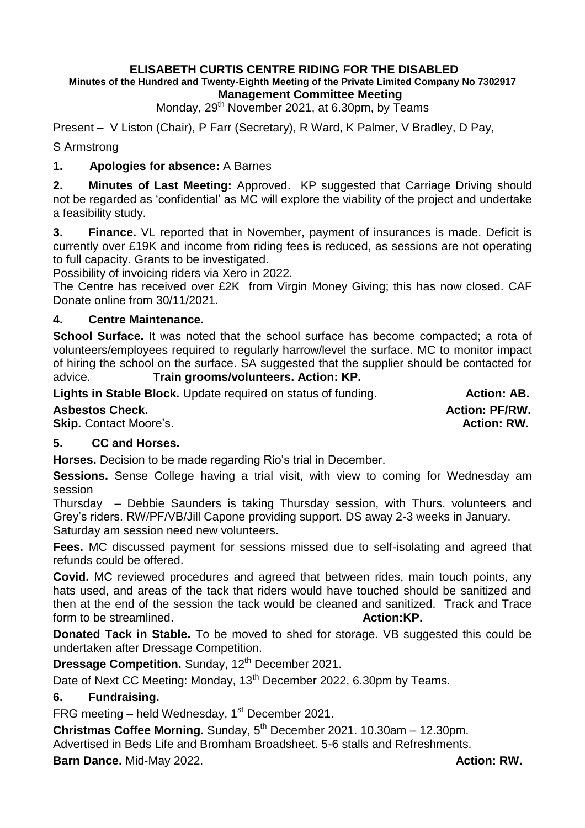#### **ELISABETH CURTIS CENTRE RIDING FOR THE DISABLED Minutes of the Hundred and Twenty-Eighth Meeting of the Private Limited Company No 7302917 Management Committee Meeting**

Monday,  $29<sup>th</sup>$  November 2021, at 6.30pm, by Teams

Present – V Liston (Chair), P Farr (Secretary), R Ward, K Palmer, V Bradley, D Pay,

S Armstrong

## **1. Apologies for absence:** A Barnes

**2. Minutes of Last Meeting:** Approved. KP suggested that Carriage Driving should not be regarded as 'confidential' as MC will explore the viability of the project and undertake a feasibility study.

**3. Finance.** VL reported that in November, payment of insurances is made. Deficit is currently over £19K and income from riding fees is reduced, as sessions are not operating to full capacity. Grants to be investigated.

Possibility of invoicing riders via Xero in 2022.

The Centre has received over £2K from Virgin Money Giving; this has now closed. CAF Donate online from 30/11/2021.

### **4. Centre Maintenance.**

School Surface. It was noted that the school surface has become compacted; a rota of volunteers/employees required to regularly harrow/level the surface. MC to monitor impact of hiring the school on the surface. SA suggested that the supplier should be contacted for advice. **Train grooms/volunteers. Action: KP.**

**Lights in Stable Block.** Update required on status of funding. **Action: AB.** Action: AB.

## **Asbestos Check. Action: PF/RW.**

**Skip.** Contact Moore's. **Action: RW. Action: RW. Action: RW.** 

### **5. CC and Horses.**

**Horses.** Decision to be made regarding Rio's trial in December.

**Sessions.** Sense College having a trial visit, with view to coming for Wednesday am session

Thursday – Debbie Saunders is taking Thursday session, with Thurs. volunteers and Grey's riders. RW/PF/VB/Jill Capone providing support. DS away 2-3 weeks in January. Saturday am session need new volunteers.

**Fees.** MC discussed payment for sessions missed due to self-isolating and agreed that refunds could be offered.

**Covid.** MC reviewed procedures and agreed that between rides, main touch points, any hats used, and areas of the tack that riders would have touched should be sanitized and then at the end of the session the tack would be cleaned and sanitized. Track and Trace form to be streamlined. **Action:KP. Action:KP.** 

**Donated Tack in Stable.** To be moved to shed for storage. VB suggested this could be undertaken after Dressage Competition.

**Dressage Competition.** Sunday, 12<sup>th</sup> December 2021.

Date of Next CC Meeting: Monday, 13<sup>th</sup> December 2022, 6.30pm by Teams.

### **6. Fundraising.**

FRG meeting – held Wednesday,  $1<sup>st</sup>$  December 2021.

**Christmas Coffee Morning.** Sunday, 5<sup>th</sup> December 2021. 10.30am – 12.30pm.

Advertised in Beds Life and Bromham Broadsheet. 5-6 stalls and Refreshments.

**Barn Dance.** Mid-May 2022. **Action: RW. Action: RW.**